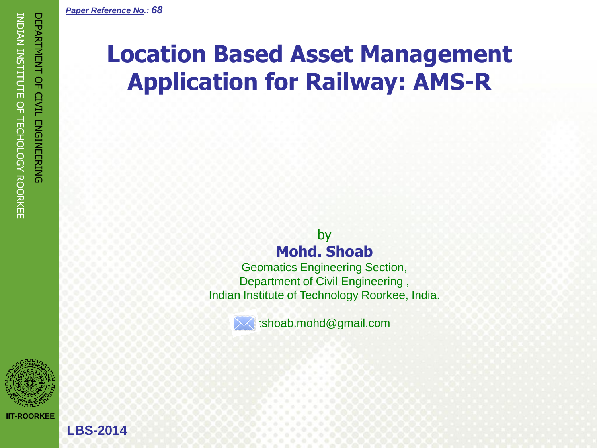

**LBS-2014**

# **Location Based Asset Management Application for Railway: AMS-R**

## by **Mohd. Shoab**

Geomatics Engineering Section, Department of Civil Engineering , Indian Institute of Technology Roorkee, India.



:shoab.mohd@gmail.com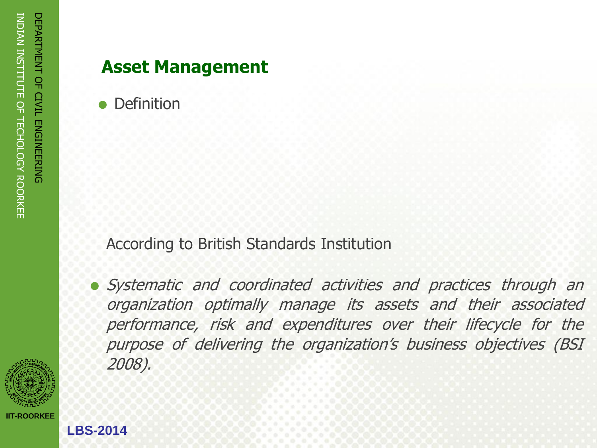## **Asset Management**

**Definition** 

According to British Standards Institution

 Systematic and coordinated activities and practices through an organization optimally manage its assets and their associated performance, risk and expenditures over their lifecycle for the purpose of delivering the organization's business objectives (BSI 2008).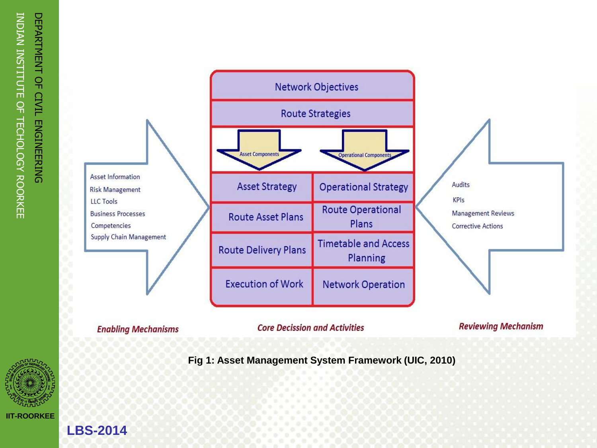



**Core Decission and Activities** 

**Reviewing Mechanism** 

**Fig 1: Asset Management System Framework (UIC, 2010)**

**LBS-2014**

**Enabling Mechanisms**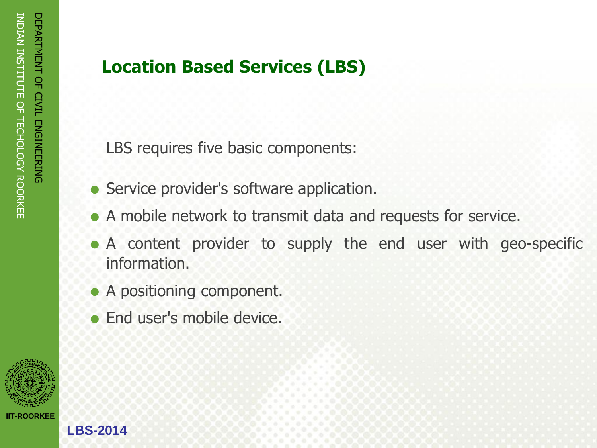# **Location Based Services (LBS)**

LBS requires five basic components:

- Service provider's software application.
- A mobile network to transmit data and requests for service.
- A content provider to supply the end user with geo-specific information.
- A positioning component.
- End user's mobile device.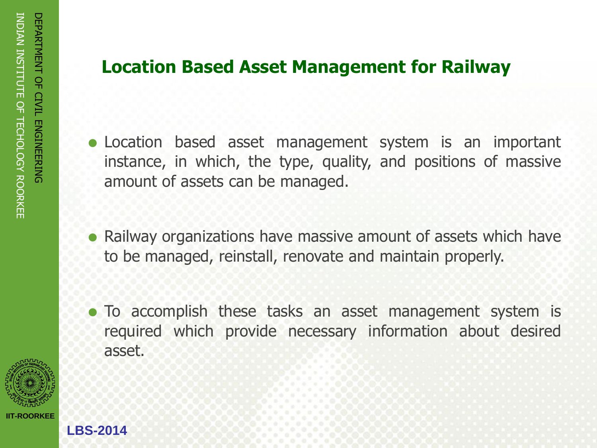# **Location Based Asset Management for Railway**

- Location based asset management system is an important instance, in which, the type, quality, and positions of massive amount of assets can be managed.
- Railway organizations have massive amount of assets which have to be managed, reinstall, renovate and maintain properly.
- To accomplish these tasks an asset management system is required which provide necessary information about desired asset.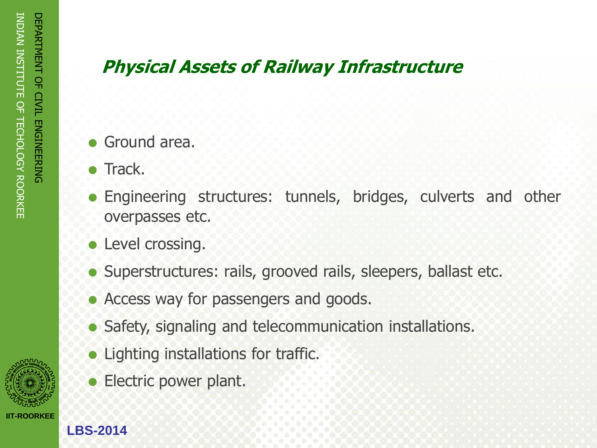# **Physical Assets of Railway Infrastructure**

- Ground area.
- Track.
- Engineering structures: tunnels, bridges, culverts and other overpasses etc.
- Level crossing.
- Superstructures: rails, grooved rails, sleepers, ballast etc.
- Access way for passengers and goods.
- Safety, signaling and telecommunication installations.
- Lighting installations for traffic.
- Electric power plant.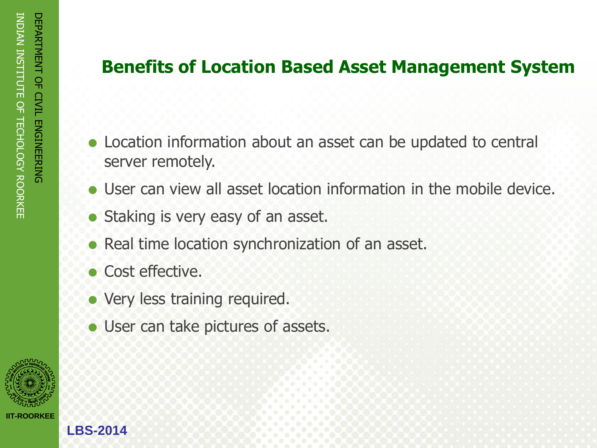## **Benefits of Location Based Asset Management System**

- Location information about an asset can be updated to central server remotely.
- User can view all asset location information in the mobile device.
- Staking is very easy of an asset.
- Real time location synchronization of an asset.
- Cost effective.
- Very less training required.
- User can take pictures of assets.

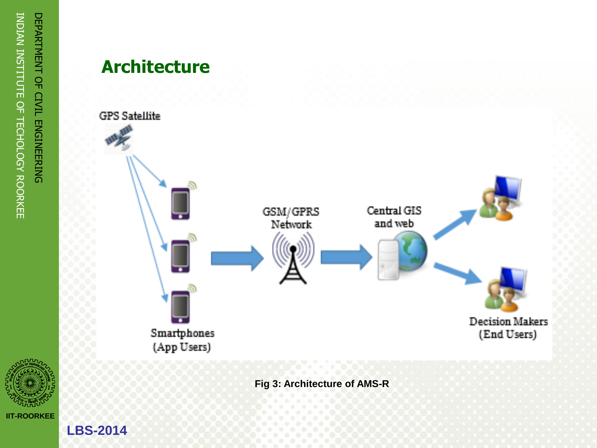

**Architecture**



**Fig 3: Architecture of AMS - R**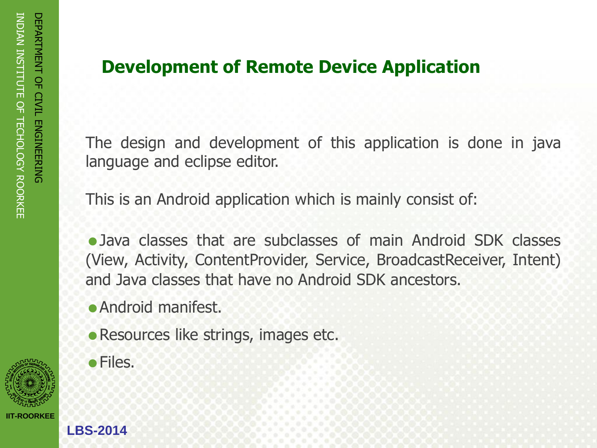# **Development of Remote Device Application**

The design and development of this application is done in java language and eclipse editor.

This is an Android application which is mainly consist of:

Java classes that are subclasses of main Android SDK classes (View, Activity, ContentProvider, Service, BroadcastReceiver, Intent) and Java classes that have no Android SDK ancestors.

- Android manifest.
- Resources like strings, images etc.
- Files.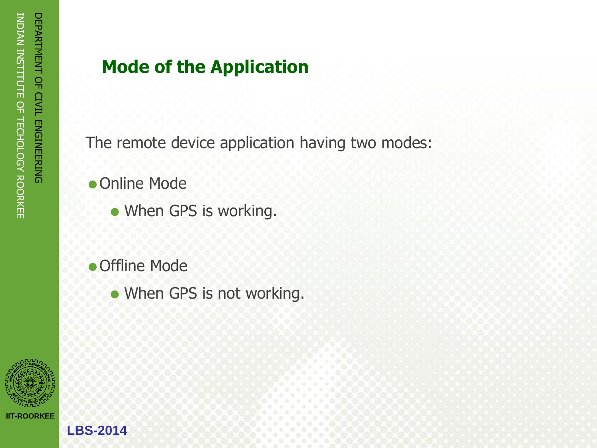# **Mode of the Application**

The remote device application having two modes:

- Online Mode
	- When GPS is working.
- Offline Mode
	- When GPS is not working.

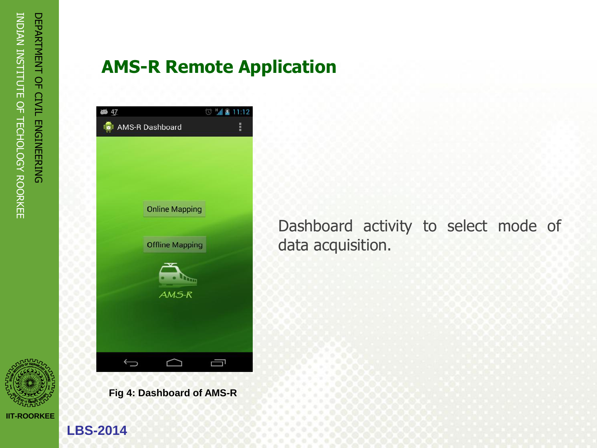

**AMS-R Remote Application**

| 47                         | al &<br>◎ | 11:12 |
|----------------------------|-----------|-------|
| <b>ICI</b> AMS-R Dashboard |           | Ĩ     |
|                            |           |       |
|                            |           |       |
|                            |           |       |
|                            |           |       |
| <b>Online Mapping</b>      |           |       |
|                            |           |       |
| <b>Offline Mapping</b>     |           |       |
| È                          |           |       |
| AMS-R                      |           |       |
|                            |           |       |
|                            |           |       |
|                            |           |       |
|                            |           |       |

**Fig 4: Dashboard of AMS-R**

Dashboard activity to select mode of data acquisition.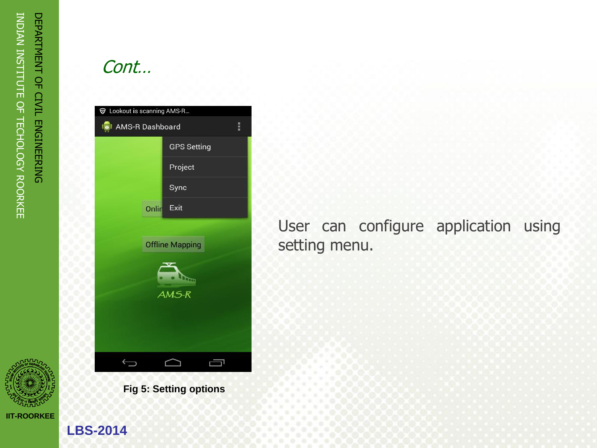

Cont…

| <b>▼</b> Lookout is scanning AMS-R    |                    |  |  |  |  |
|---------------------------------------|--------------------|--|--|--|--|
| Ī<br>ISI AMS-R Dashboard              |                    |  |  |  |  |
|                                       | <b>GPS Setting</b> |  |  |  |  |
|                                       | Project            |  |  |  |  |
|                                       | Sync               |  |  |  |  |
| Onlin                                 | Exit               |  |  |  |  |
| <b>Offline Mapping</b>                |                    |  |  |  |  |
|                                       |                    |  |  |  |  |
| $\frac{R_{\text{max}}}{\text{AMS-R}}$ |                    |  |  |  |  |
|                                       |                    |  |  |  |  |
|                                       |                    |  |  |  |  |
|                                       |                    |  |  |  |  |
|                                       |                    |  |  |  |  |

**Fig 5: Setting options**

User can configure application using setting menu.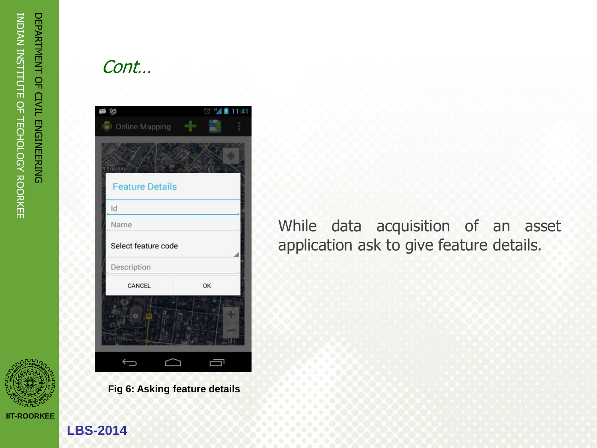

Cont…

| 95<br>ath                             | ŵ  | M 图 11:41 |  |  |  |
|---------------------------------------|----|-----------|--|--|--|
| <b>Diamond</b> Mapping                |    |           |  |  |  |
|                                       |    |           |  |  |  |
| <b>RBHAWAN</b>                        |    |           |  |  |  |
| <b>Feature Details</b>                |    |           |  |  |  |
| Id                                    |    |           |  |  |  |
| Name                                  |    |           |  |  |  |
| Select feature code                   |    |           |  |  |  |
| Description                           |    |           |  |  |  |
| CANCEL                                | OK |           |  |  |  |
| Mt Ground<br>Co <sup>cab</sup> kauman |    |           |  |  |  |
|                                       |    |           |  |  |  |

**Fig 6: Asking feature details**

While data acquisition of an asset application ask to give feature details.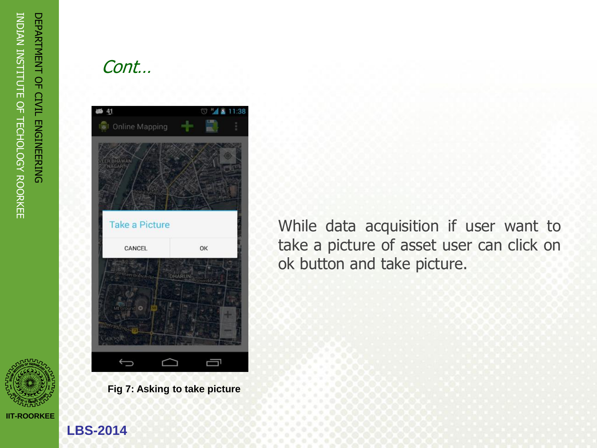

## Cont…



**Fig 7: Asking to take picture**

While data acquisition if user want to take a picture of asset user can click on ok button and take picture.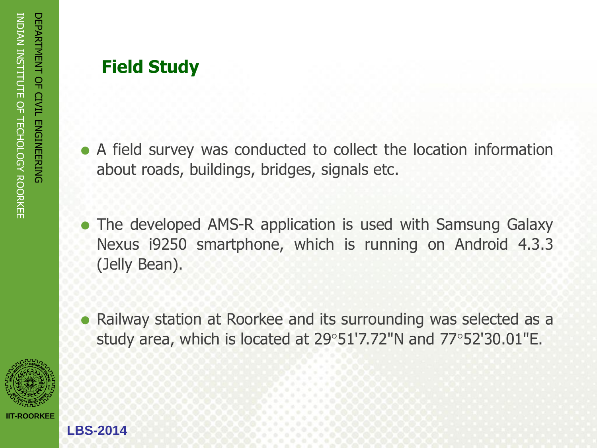# **Field Study**

- A field survey was conducted to collect the location information about roads, buildings, bridges, signals etc.
- The developed AMS-R application is used with Samsung Galaxy Nexus i9250 smartphone, which is running on Android 4.3.3 (Jelly Bean).
- Railway station at Roorkee and its surrounding was selected as a study area, which is located at 29°51'7.72"N and 77°52'30.01"E.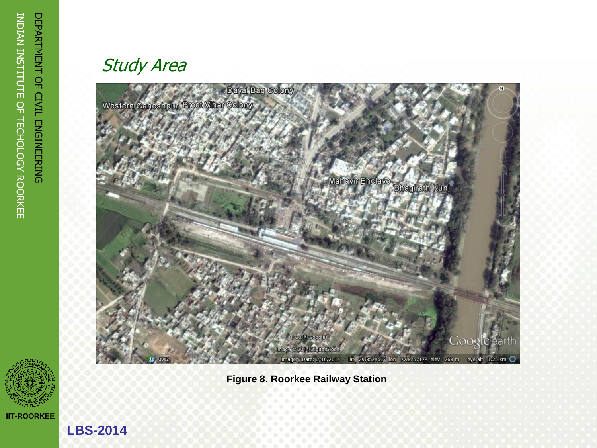

**LBS -2014**

## Study Area



**Figure 8. Roorkee Railway Station**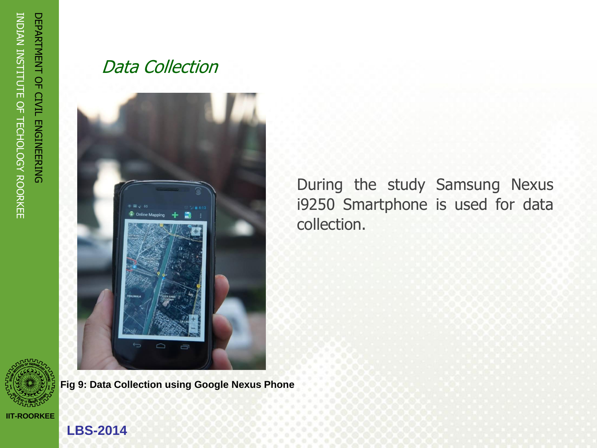

Data Collection



**Fig 9: Data Collection using Google Nexus Phone**

During the study Samsung Nexus i9250 Smartphone is used for data collection.

### **IIT-ROORKEE**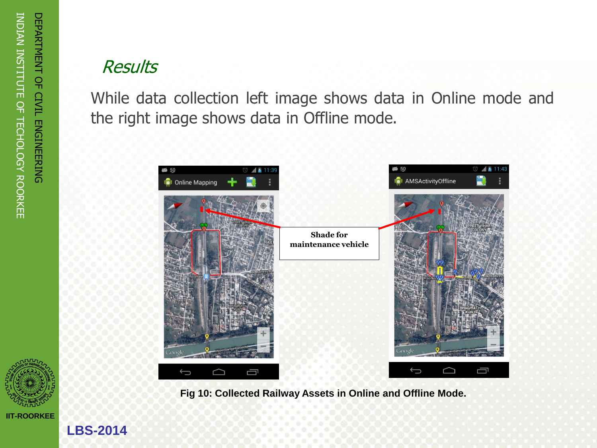# **Results**

While data collection left image shows data in Online mode and the right image shows data in Offline mode.



**Fig 10: Collected Railway Assets in Online and Offline Mode.**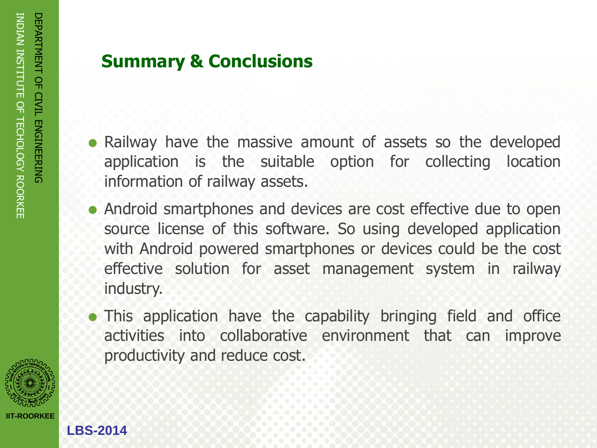

# **Summary & Conclusions**

- Railway have the massive amount of assets so the developed application is the suitable option for collecting location information of railway assets.
- Android smartphones and devices are cost effective due to open source license of this software. So using developed application with Android powered smartphones or devices could be the cost effective solution for asset management system in railway industry.
- This application have the capability bringing field and office activities into collaborative environment that can improve productivity and reduce cost.